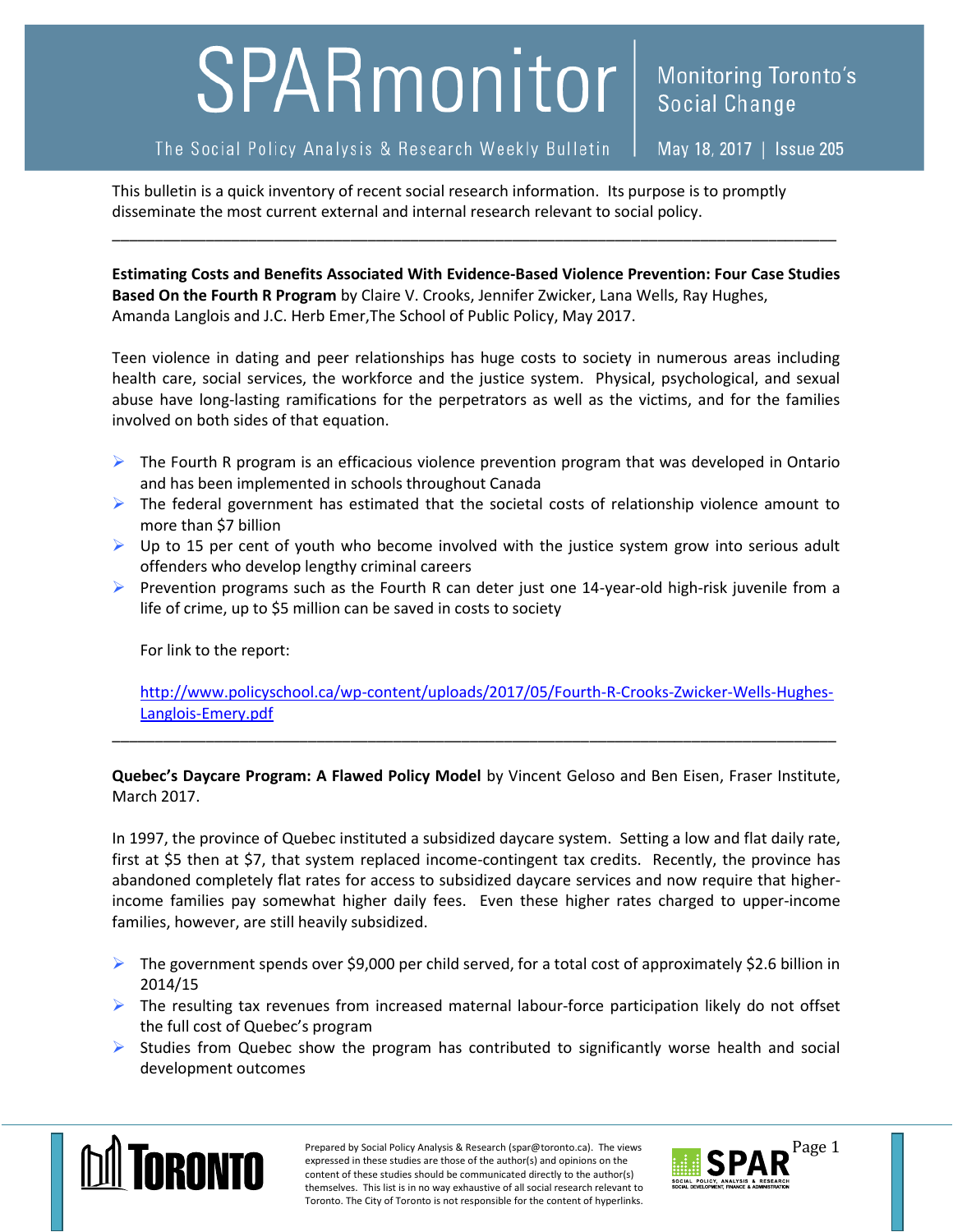## SPARmonitor | Monitoring Toronto's

## The Social Policy Analysis & Research Weekly Bulletin

May 18, 2017 | Issue 205

This bulletin is a quick inventory of recent social research information. Its purpose is to promptly disseminate the most current external and internal research relevant to social policy.

**Estimating Costs and Benefits Associated With Evidence-Based Violence Prevention: Four Case Studies Based On the Fourth R Program** by Claire V. Crooks, Jennifer Zwicker, Lana Wells, Ray Hughes, Amanda Langlois and J.C. Herb Emer,The School of Public Policy, May 2017.

\_\_\_\_\_\_\_\_\_\_\_\_\_\_\_\_\_\_\_\_\_\_\_\_\_\_\_\_\_\_\_\_\_\_\_\_\_\_\_\_\_\_\_\_\_\_\_\_\_\_\_\_\_\_\_\_\_\_\_\_\_\_\_\_\_\_\_\_\_\_\_\_\_\_\_\_\_\_\_\_\_\_\_\_\_

Teen violence in dating and peer relationships has huge costs to society in numerous areas including health care, social services, the workforce and the justice system. Physical, psychological, and sexual abuse have long-lasting ramifications for the perpetrators as well as the victims, and for the families involved on both sides of that equation.

- $\triangleright$  The Fourth R program is an efficacious violence prevention program that was developed in Ontario and has been implemented in schools throughout Canada
- $\triangleright$  The federal government has estimated that the societal costs of relationship violence amount to more than \$7 billion
- $\triangleright$  Up to 15 per cent of youth who become involved with the justice system grow into serious adult offenders who develop lengthy criminal careers
- **Prevention programs such as the Fourth R can deter just one 14-year-old high-risk juvenile from a** life of crime, up to \$5 million can be saved in costs to society

For link to the report:

[http://www.policyschool.ca/wp-content/uploads/2017/05/Fourth-R-Crooks-Zwicker-Wells-Hughes-](http://www.policyschool.ca/wp-content/uploads/2017/05/Fourth-R-Crooks-Zwicker-Wells-Hughes-Langlois-Emery.pdf)[Langlois-Emery.pdf](http://www.policyschool.ca/wp-content/uploads/2017/05/Fourth-R-Crooks-Zwicker-Wells-Hughes-Langlois-Emery.pdf)

**Quebec's Daycare Program: A Flawed Policy Model** by Vincent Geloso and Ben Eisen, Fraser Institute, March 2017.

\_\_\_\_\_\_\_\_\_\_\_\_\_\_\_\_\_\_\_\_\_\_\_\_\_\_\_\_\_\_\_\_\_\_\_\_\_\_\_\_\_\_\_\_\_\_\_\_\_\_\_\_\_\_\_\_\_\_\_\_\_\_\_\_\_\_\_\_\_\_\_\_\_\_\_\_\_\_\_\_\_\_\_\_\_

In 1997, the province of Quebec instituted a subsidized daycare system. Setting a low and flat daily rate, first at \$5 then at \$7, that system replaced income-contingent tax credits. Recently, the province has abandoned completely flat rates for access to subsidized daycare services and now require that higherincome families pay somewhat higher daily fees. Even these higher rates charged to upper-income families, however, are still heavily subsidized.

- $\triangleright$  The government spends over \$9,000 per child served, for a total cost of approximately \$2.6 billion in 2014/15
- $\triangleright$  The resulting tax revenues from increased maternal labour-force participation likely do not offset the full cost of Quebec's program
- $\triangleright$  Studies from Quebec show the program has contributed to significantly worse health and social development outcomes



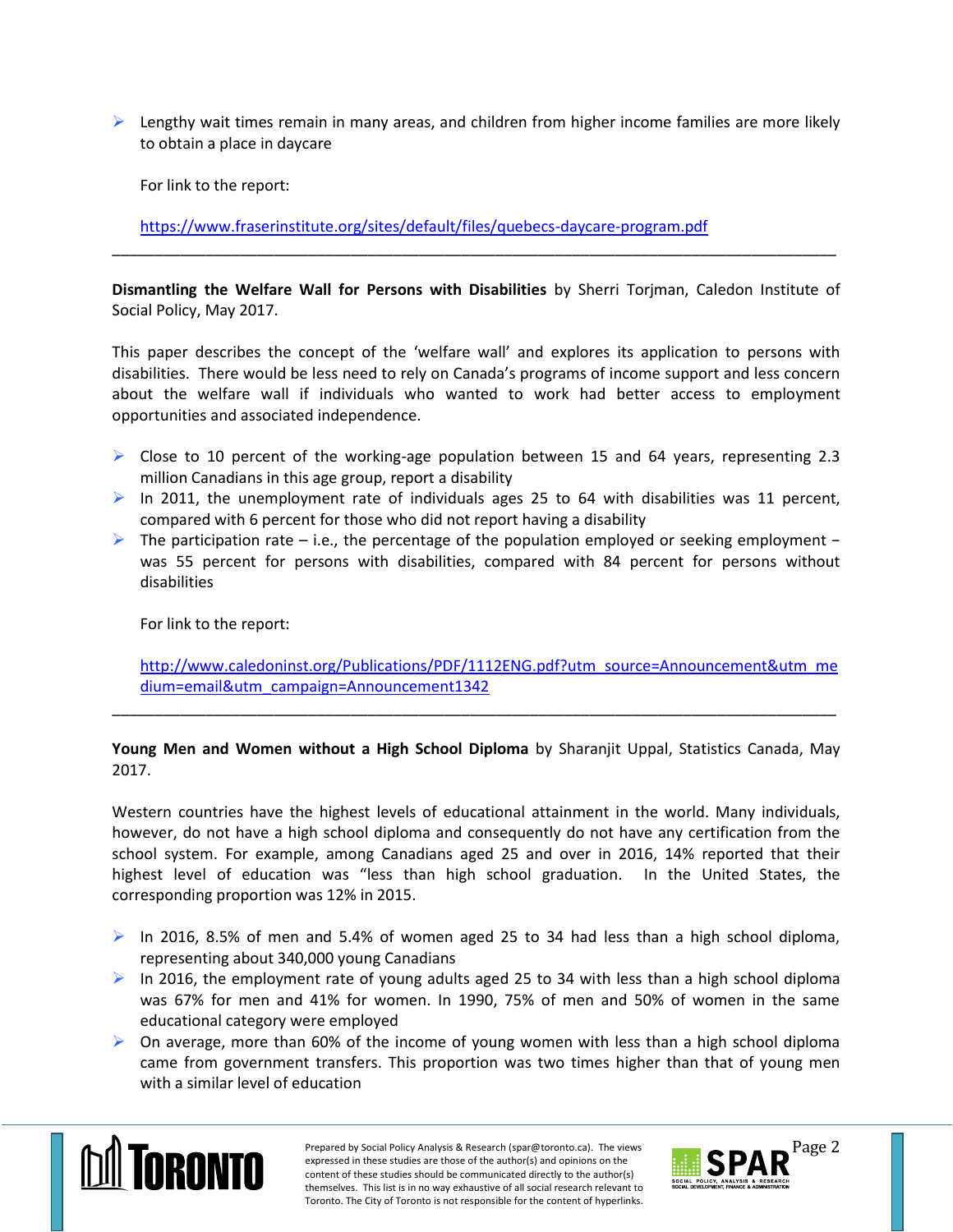$\triangleright$  Lengthy wait times remain in many areas, and children from higher income families are more likely to obtain a place in daycare

For link to the report:

<https://www.fraserinstitute.org/sites/default/files/quebecs-daycare-program.pdf>

**Dismantling the Welfare Wall for Persons with Disabilities** by Sherri Torjman, Caledon Institute of Social Policy, May 2017.

\_\_\_\_\_\_\_\_\_\_\_\_\_\_\_\_\_\_\_\_\_\_\_\_\_\_\_\_\_\_\_\_\_\_\_\_\_\_\_\_\_\_\_\_\_\_\_\_\_\_\_\_\_\_\_\_\_\_\_\_\_\_\_\_\_\_\_\_\_\_\_\_\_\_\_\_\_\_\_\_\_\_\_\_\_

This paper describes the concept of the 'welfare wall' and explores its application to persons with disabilities. There would be less need to rely on Canada's programs of income support and less concern about the welfare wall if individuals who wanted to work had better access to employment opportunities and associated independence.

- $\triangleright$  Close to 10 percent of the working-age population between 15 and 64 years, representing 2.3 million Canadians in this age group, report a disability
- In 2011, the unemployment rate of individuals ages 25 to 64 with disabilities was 11 percent, compared with 6 percent for those who did not report having a disability
- The participation rate i.e., the percentage of the population employed or seeking employment − was 55 percent for persons with disabilities, compared with 84 percent for persons without disabilities

For link to the report:

[http://www.caledoninst.org/Publications/PDF/1112ENG.pdf?utm\\_source=Announcement&utm\\_me](http://www.caledoninst.org/Publications/PDF/1112ENG.pdf?utm_source=Announcement&utm_medium=email&utm_campaign=Announcement1342) [dium=email&utm\\_campaign=Announcement1342](http://www.caledoninst.org/Publications/PDF/1112ENG.pdf?utm_source=Announcement&utm_medium=email&utm_campaign=Announcement1342)

## **Young Men and Women without a High School Diploma** by Sharanjit Uppal, Statistics Canada, May 2017.

\_\_\_\_\_\_\_\_\_\_\_\_\_\_\_\_\_\_\_\_\_\_\_\_\_\_\_\_\_\_\_\_\_\_\_\_\_\_\_\_\_\_\_\_\_\_\_\_\_\_\_\_\_\_\_\_\_\_\_\_\_\_\_\_\_\_\_\_\_\_\_\_\_\_\_\_\_\_\_\_\_\_\_\_\_

Western countries have the highest levels of educational attainment in the world. Many individuals, however, do not have a high school diploma and consequently do not have any certification from the school system. For example, among Canadians aged 25 and over in 2016, 14% reported that their highest level of education was "less than high school graduation. In the United States, the corresponding proportion was 12% in 2015.

- In 2016, 8.5% of men and 5.4% of women aged 25 to 34 had less than a high school diploma, representing about 340,000 young Canadians
- In 2016, the employment rate of young adults aged 25 to 34 with less than a high school diploma was 67% for men and 41% for women. In 1990, 75% of men and 50% of women in the same educational category were employed
- $\triangleright$  On average, more than 60% of the income of young women with less than a high school diploma came from government transfers. This proportion was two times higher than that of young men with a similar level of education



Prepared by Social Policy Analysis & Research (spar@toronto.ca). The views Page 2 expressed in these studies are those of the author(s) and opinions on the content of these studies should be communicated directly to the author(s) themselves. This list is in no way exhaustive of all social research relevant to Toronto. The City of Toronto is not responsible for the content of hyperlinks.